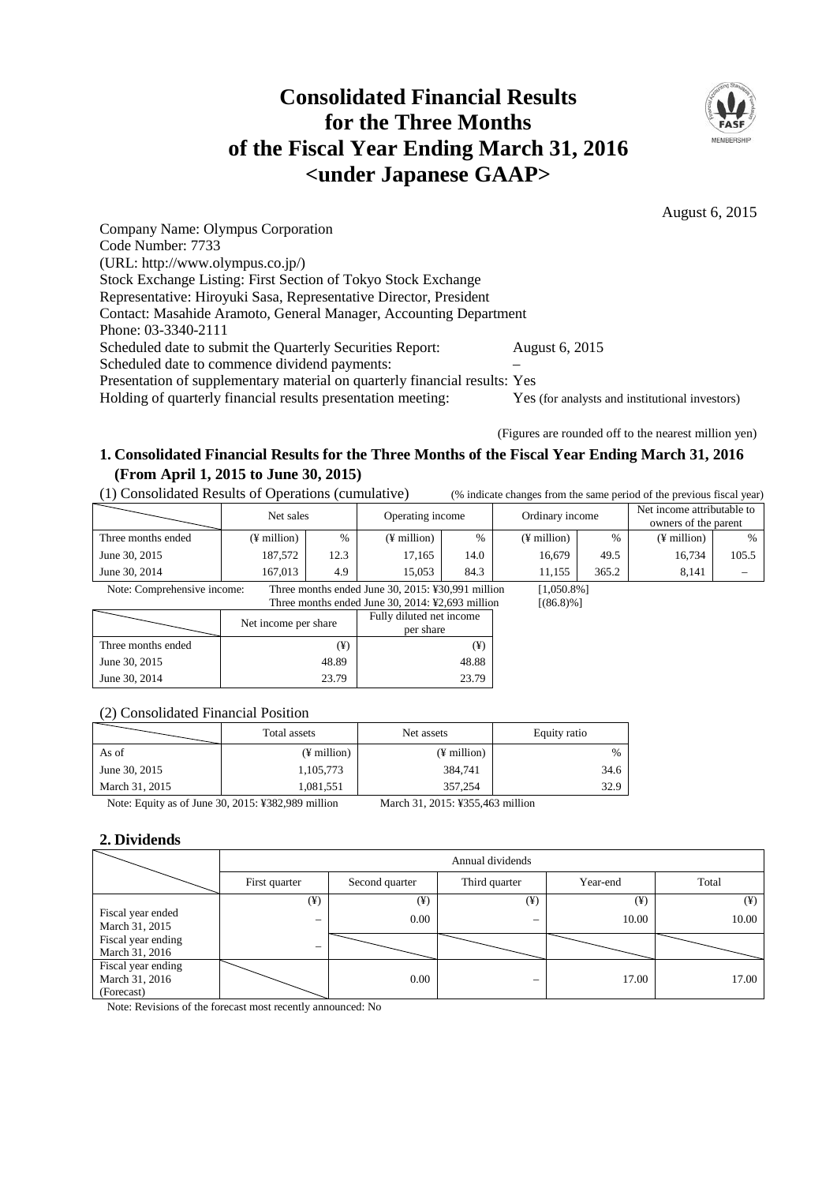# **Consolidated Financial Results for the Three Months of the Fiscal Year Ending March 31, 2016 <under Japanese GAAP>**



August 6, 2015

Company Name: Olympus Corporation Code Number: 7733 (URL: http://www.olympus.co.jp/) Stock Exchange Listing: First Section of Tokyo Stock Exchange Representative: Hiroyuki Sasa, Representative Director, President Contact: Masahide Aramoto, General Manager, Accounting Department Phone: 03-3340-2111 Scheduled date to submit the Quarterly Securities Report: August 6, 2015 Scheduled date to commence dividend payments: Presentation of supplementary material on quarterly financial results: Yes Holding of quarterly financial results presentation meeting: Yes (for analysts and institutional investors)

(Figures are rounded off to the nearest million yen)

# **1. Consolidated Financial Results for the Three Months of the Fiscal Year Ending March 31, 2016 (From April 1, 2015 to June 30, 2015)**

(1) Consolidated Results of Operations (cumulative) (% indicate changes from the same period of the previous fiscal year)

|                             | Net sales             |          | Operating income                                  |                          | Ordinary income         |               | Net income attributable to<br>owners of the parent |                          |
|-----------------------------|-----------------------|----------|---------------------------------------------------|--------------------------|-------------------------|---------------|----------------------------------------------------|--------------------------|
| Three months ended          | $(F \text{ million})$ | $\%$     | $(\frac{1}{2})$ million                           | $\frac{0}{0}$            | $(\frac{1}{2})$ million | $\frac{0}{6}$ | $(\frac{1}{2})$ million)                           | $\frac{0}{0}$            |
| June 30, 2015               | 187,572               | 12.3     | 17,165                                            | 14.0                     | 16,679                  | 49.5          | 16,734                                             | 105.5                    |
| June 30, 2014               | 167,013               | 4.9      | 15.053                                            | 84.3                     | 11,155                  | 365.2         | 8,141                                              | $\overline{\phantom{0}}$ |
| Note: Comprehensive income: |                       |          | Three months ended June 30, 2015: ¥30,991 million |                          | $[1,050.8\%]$           |               |                                                    |                          |
|                             |                       |          | Three months ended June 30, 2014: ¥2,693 million  |                          | $[(86.8)\%]$            |               |                                                    |                          |
|                             | Net income per share  |          |                                                   | Fully diluted net income |                         |               |                                                    |                          |
|                             |                       |          | per share                                         |                          |                         |               |                                                    |                          |
| Three months ended          |                       | $(\yen)$ | $(\yen)$                                          |                          |                         |               |                                                    |                          |

(2) Consolidated Financial Position

|                | Total assets            | Net assets              | Equity ratio  |  |
|----------------|-------------------------|-------------------------|---------------|--|
| As of          | $(\frac{1}{2})$ million | $(\frac{1}{2})$ million | $\frac{0}{6}$ |  |
| June 30, 2015  | 1,105,773               | 384.741                 | 34.6          |  |
| March 31, 2015 | 1,081,551               | 357.254                 | 32.9          |  |

Note: Equity as of June 30, 2015: ¥382,989 million March 31, 2015: ¥355,463 million

June 30, 2015 48.89 48.89 June 30, 2014 23.79 23.79

# **2. Dividends**

|                                                    | Annual dividends |                |               |          |          |  |  |
|----------------------------------------------------|------------------|----------------|---------------|----------|----------|--|--|
| First quarter                                      |                  | Second quarter | Third quarter | Year-end | Total    |  |  |
|                                                    | $(\yen)$         | $(\yen)$       | $(\yen)$      | $(\yen)$ | $(\yen)$ |  |  |
| Fiscal year ended<br>March 31, 2015                | -                | 0.00           |               | 10.00    | 10.00    |  |  |
| Fiscal year ending<br>March 31, 2016               | —                |                |               |          |          |  |  |
| Fiscal year ending<br>March 31, 2016<br>(Forecast) |                  | 0.00           |               | 17.00    | 17.00    |  |  |

Note: Revisions of the forecast most recently announced: No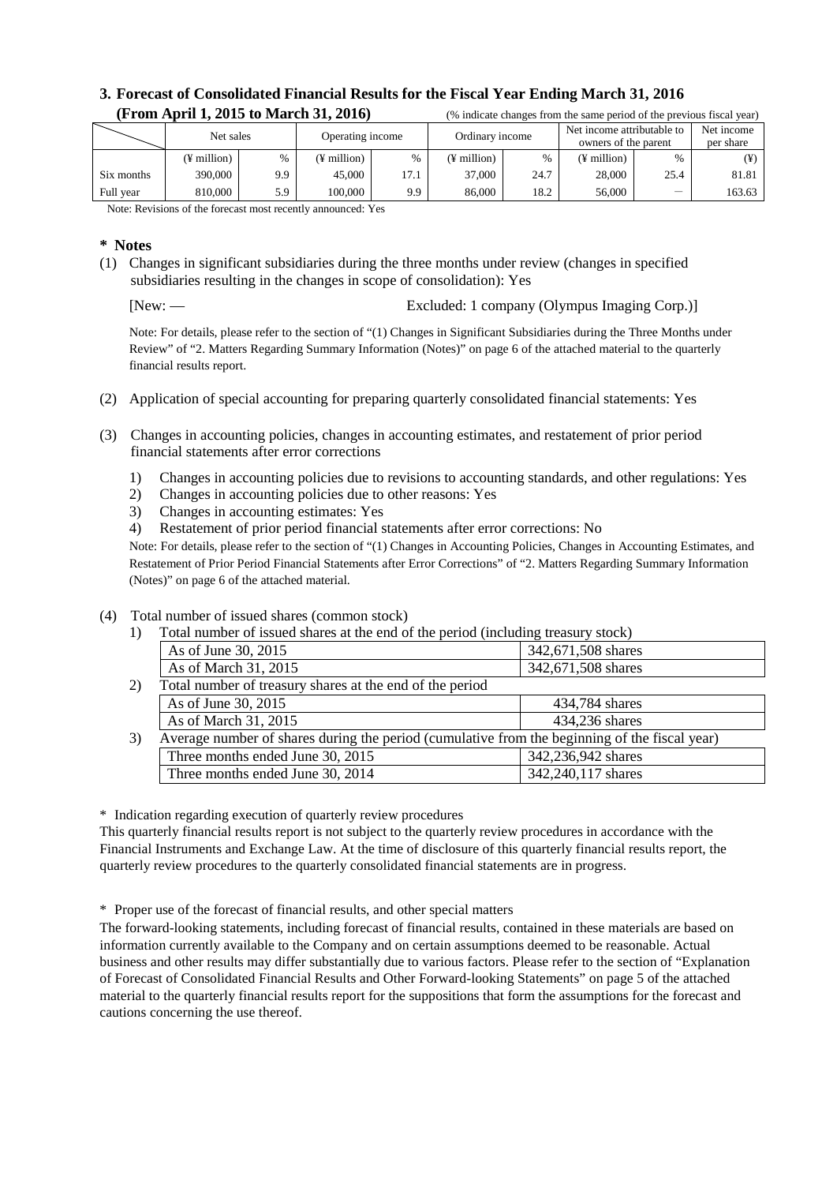### **3. Forecast of Consolidated Financial Results for the Fiscal Year Ending March 31, 2016 (From April 1, 2015 to March 31, 2016)** (% indicate changes from the same period of the previous fiscal year)

| \1 1 0111 11101 11 11 #0 10 10 10 11101 011 0 11 #0 10 1 |             |      |                       |      | o marcate enanges from the same period of the previous fiscal year. |               |                                                    |      |                         |
|----------------------------------------------------------|-------------|------|-----------------------|------|---------------------------------------------------------------------|---------------|----------------------------------------------------|------|-------------------------|
|                                                          | Net sales   |      | Operating income      |      | Ordinary income                                                     |               | Net income attributable to<br>owners of the parent |      | Net income<br>per share |
|                                                          | (¥ million) | $\%$ | $(F \text{ million})$ | %    | (¥ million)                                                         | $\frac{0}{0}$ | (¥ million)                                        | $\%$ | ¥)                      |
| Six months                                               | 390,000     | 9.9  | 45,000                | 17.1 | 37,000                                                              | 24.7          | 28,000                                             | 25.4 | 81.81                   |
| Full year                                                | 810,000     | 5.9  | 100.000               | 9.9  | 86,000                                                              | 18.2          | 56,000                                             |      | 163.63                  |
|                                                          |             |      |                       |      |                                                                     |               |                                                    |      |                         |

Note: Revisions of the forecast most recently announced: Yes

### **\* Notes**

(1) Changes in significant subsidiaries during the three months under review (changes in specified subsidiaries resulting in the changes in scope of consolidation): Yes

[New: — Excluded: 1 company (Olympus Imaging Corp.)]

Note: For details, please refer to the section of "(1) Changes in Significant Subsidiaries during the Three Months under Review" of "2. Matters Regarding Summary Information (Notes)" on page 6 of the attached material to the quarterly financial results report.

- (2) Application of special accounting for preparing quarterly consolidated financial statements: Yes
- (3) Changes in accounting policies, changes in accounting estimates, and restatement of prior period financial statements after error corrections
	- 1) Changes in accounting policies due to revisions to accounting standards, and other regulations: Yes
	- 2) Changes in accounting policies due to other reasons: Yes
	- 3) Changes in accounting estimates: Yes
	- 4) Restatement of prior period financial statements after error corrections: No

Note: For details, please refer to the section of "(1) Changes in Accounting Policies, Changes in Accounting Estimates, and Restatement of Prior Period Financial Statements after Error Corrections" of "2. Matters Regarding Summary Information (Notes)" on page 6 of the attached material.

#### (4) Total number of issued shares (common stock)

1) Total number of issued shares at the end of the period (including treasury stock)

|    | As of June 30, 2015                                                                           | 342,671,508 shares |
|----|-----------------------------------------------------------------------------------------------|--------------------|
|    | As of March 31, 2015                                                                          | 342,671,508 shares |
| 2) | Total number of treasury shares at the end of the period                                      |                    |
|    | As of June 30, 2015                                                                           | 434,784 shares     |
|    | As of March 31, 2015                                                                          | 434,236 shares     |
| 3) | Average number of shares during the period (cumulative from the beginning of the fiscal year) |                    |
|    | Three months ended June 30, 2015                                                              | 342,236,942 shares |
|    | Three months ended June 30, 2014                                                              | 342,240,117 shares |

\* Indication regarding execution of quarterly review procedures

This quarterly financial results report is not subject to the quarterly review procedures in accordance with the Financial Instruments and Exchange Law. At the time of disclosure of this quarterly financial results report, the quarterly review procedures to the quarterly consolidated financial statements are in progress.

\* Proper use of the forecast of financial results, and other special matters

The forward-looking statements, including forecast of financial results, contained in these materials are based on information currently available to the Company and on certain assumptions deemed to be reasonable. Actual business and other results may differ substantially due to various factors. Please refer to the section of "Explanation of Forecast of Consolidated Financial Results and Other Forward-looking Statements" on page 5 of the attached material to the quarterly financial results report for the suppositions that form the assumptions for the forecast and cautions concerning the use thereof.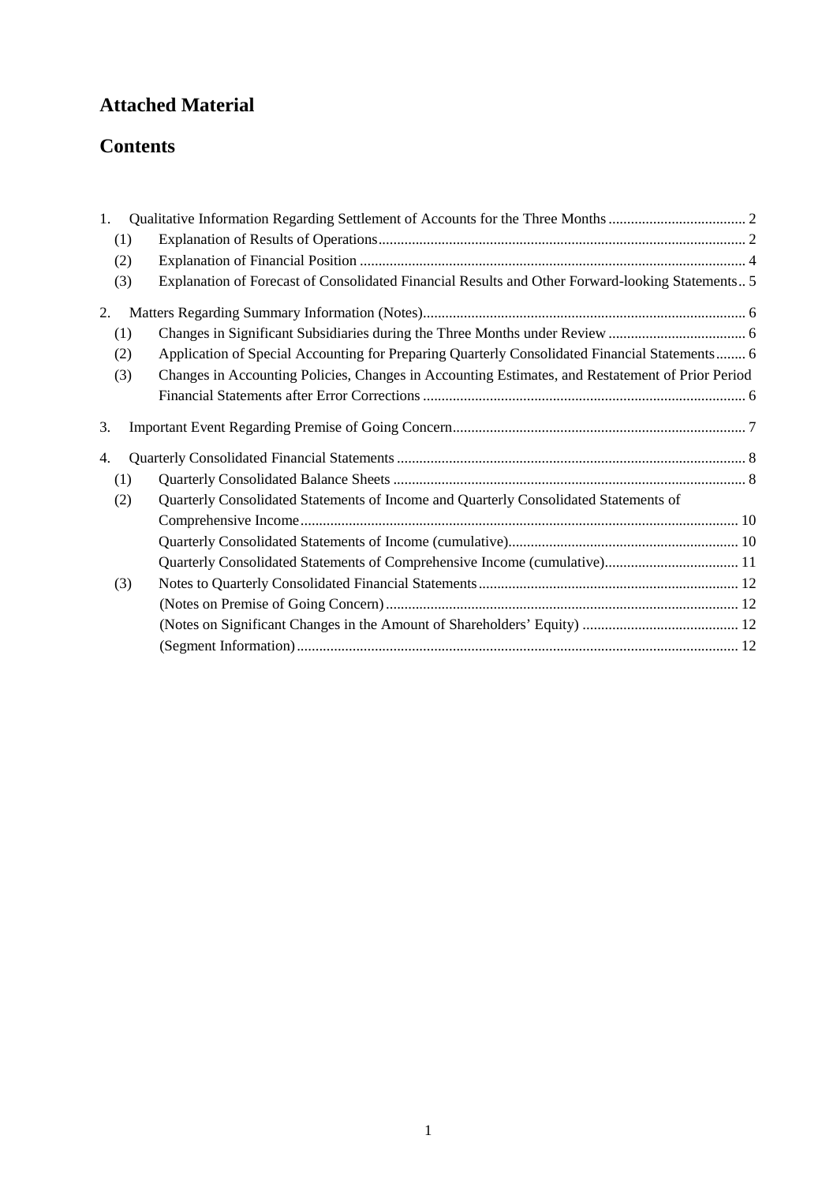# **Attached Material**

# **Contents**

| 1 <sub>1</sub> |                                                                                                  |  |
|----------------|--------------------------------------------------------------------------------------------------|--|
| (1)            |                                                                                                  |  |
| (2)            |                                                                                                  |  |
| (3)            | Explanation of Forecast of Consolidated Financial Results and Other Forward-looking Statements 5 |  |
| 2.             |                                                                                                  |  |
| (1)            |                                                                                                  |  |
| (2)            | Application of Special Accounting for Preparing Quarterly Consolidated Financial Statements 6    |  |
| (3)            | Changes in Accounting Policies, Changes in Accounting Estimates, and Restatement of Prior Period |  |
|                |                                                                                                  |  |
| 3.             |                                                                                                  |  |
| 4.             |                                                                                                  |  |
| (1)            |                                                                                                  |  |
| (2)            | Quarterly Consolidated Statements of Income and Quarterly Consolidated Statements of             |  |
|                |                                                                                                  |  |
|                |                                                                                                  |  |
|                | Quarterly Consolidated Statements of Comprehensive Income (cumulative) 11                        |  |
| (3)            |                                                                                                  |  |
|                |                                                                                                  |  |
|                |                                                                                                  |  |
|                |                                                                                                  |  |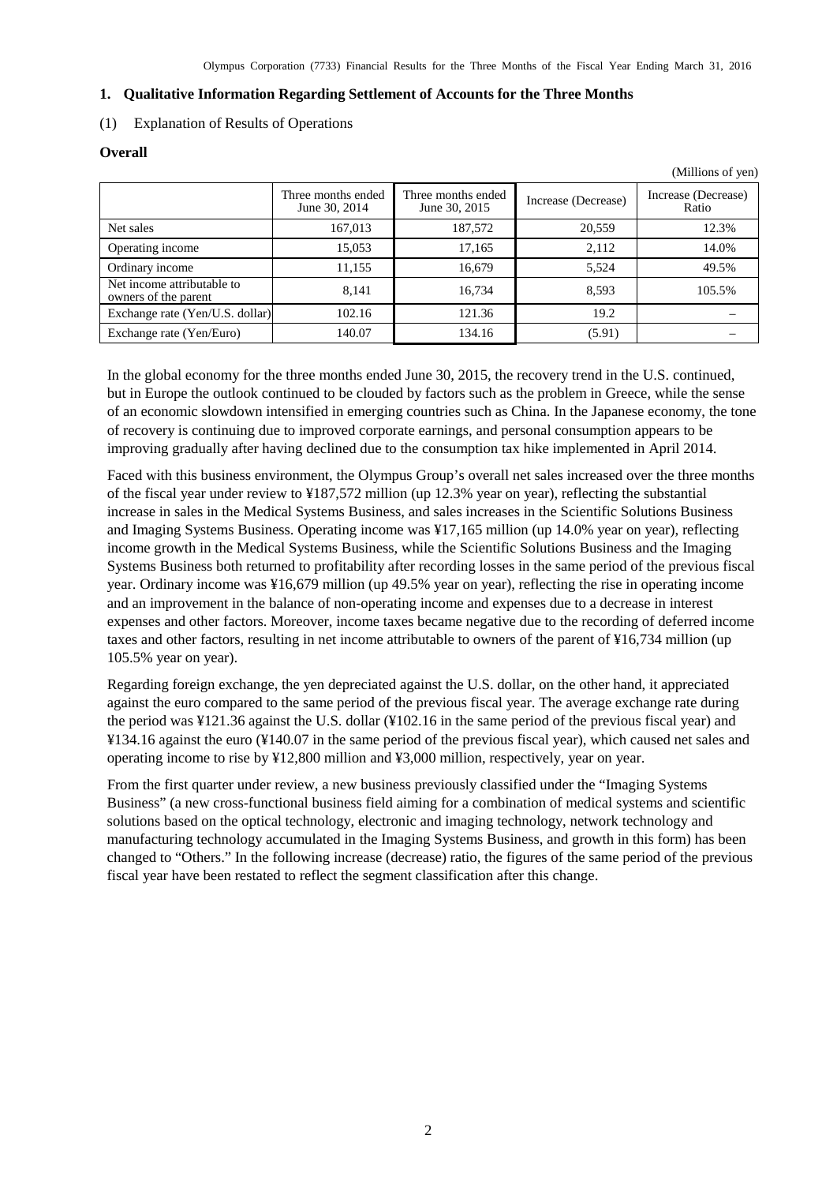#### <span id="page-3-0"></span>**1. Qualitative Information Regarding Settlement of Accounts for the Three Months**

#### <span id="page-3-1"></span>(1) Explanation of Results of Operations

#### **Overall**

|                                                    |                                     |                                     |                     | (Millions of yen)            |
|----------------------------------------------------|-------------------------------------|-------------------------------------|---------------------|------------------------------|
|                                                    | Three months ended<br>June 30, 2014 | Three months ended<br>June 30, 2015 | Increase (Decrease) | Increase (Decrease)<br>Ratio |
| Net sales                                          | 167,013                             | 187,572                             | 20,559              | 12.3%                        |
| Operating income                                   | 15,053                              | 17,165                              | 2,112               | 14.0%                        |
| Ordinary income                                    | 11,155                              | 16,679                              | 5.524               | 49.5%                        |
| Net income attributable to<br>owners of the parent | 8,141                               | 16.734                              | 8.593               | 105.5%                       |
| Exchange rate (Yen/U.S. dollar)                    | 102.16                              | 121.36                              | 19.2                |                              |
| Exchange rate (Yen/Euro)                           | 140.07                              | 134.16                              | (5.91)              |                              |

In the global economy for the three months ended June 30, 2015, the recovery trend in the U.S. continued, but in Europe the outlook continued to be clouded by factors such as the problem in Greece, while the sense of an economic slowdown intensified in emerging countries such as China. In the Japanese economy, the tone of recovery is continuing due to improved corporate earnings, and personal consumption appears to be improving gradually after having declined due to the consumption tax hike implemented in April 2014.

Faced with this business environment, the Olympus Group's overall net sales increased over the three months of the fiscal year under review to ¥187,572 million (up 12.3% year on year), reflecting the substantial increase in sales in the Medical Systems Business, and sales increases in the Scientific Solutions Business and Imaging Systems Business. Operating income was ¥17,165 million (up 14.0% year on year), reflecting income growth in the Medical Systems Business, while the Scientific Solutions Business and the Imaging Systems Business both returned to profitability after recording losses in the same period of the previous fiscal year. Ordinary income was ¥16,679 million (up 49.5% year on year), reflecting the rise in operating income and an improvement in the balance of non-operating income and expenses due to a decrease in interest expenses and other factors. Moreover, income taxes became negative due to the recording of deferred income taxes and other factors, resulting in net income attributable to owners of the parent of ¥16,734 million (up 105.5% year on year).

Regarding foreign exchange, the yen depreciated against the U.S. dollar, on the other hand, it appreciated against the euro compared to the same period of the previous fiscal year. The average exchange rate during the period was ¥121.36 against the U.S. dollar (¥102.16 in the same period of the previous fiscal year) and ¥134.16 against the euro (¥140.07 in the same period of the previous fiscal year), which caused net sales and operating income to rise by ¥12,800 million and ¥3,000 million, respectively, year on year.

From the first quarter under review, a new business previously classified under the "Imaging Systems Business" (a new cross-functional business field aiming for a combination of medical systems and scientific solutions based on the optical technology, electronic and imaging technology, network technology and manufacturing technology accumulated in the Imaging Systems Business, and growth in this form) has been changed to "Others." In the following increase (decrease) ratio, the figures of the same period of the previous fiscal year have been restated to reflect the segment classification after this change.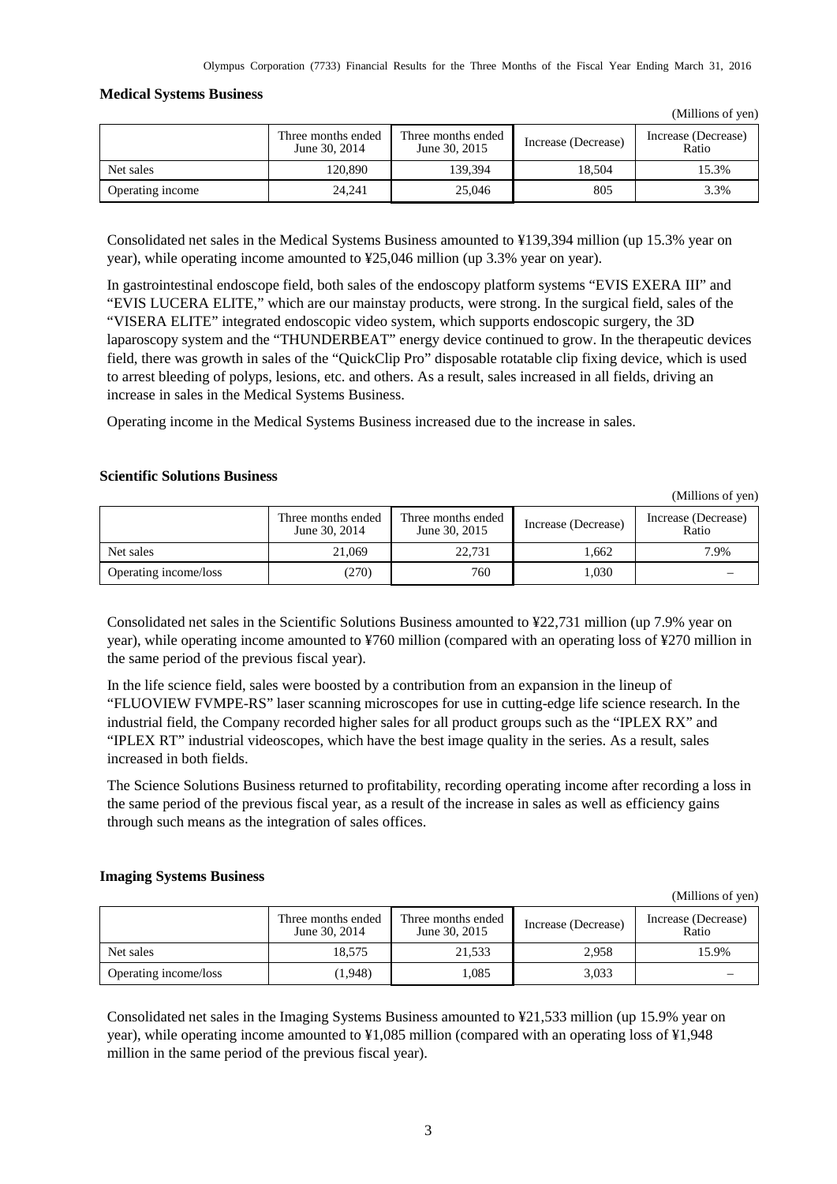#### **Medical Systems Business**

|                  | Three months ended             | Three months ended |                     | Increase (Decrease) |  |
|------------------|--------------------------------|--------------------|---------------------|---------------------|--|
|                  | June 30, 2014<br>June 30, 2015 |                    | Increase (Decrease) | Ratio               |  |
| Net sales        | 120.890                        | 139.394            | 18.504              | 15.3%               |  |
| Operating income | 24.241                         | 25,046             | 805                 | 3.3%                |  |

Consolidated net sales in the Medical Systems Business amounted to ¥139,394 million (up 15.3% year on year), while operating income amounted to ¥25,046 million (up 3.3% year on year).

In gastrointestinal endoscope field, both sales of the endoscopy platform systems "EVIS EXERA III" and "EVIS LUCERA ELITE," which are our mainstay products, were strong. In the surgical field, sales of the "VISERA ELITE" integrated endoscopic video system, which supports endoscopic surgery, the 3D laparoscopy system and the "THUNDERBEAT" energy device continued to grow. In the therapeutic devices field, there was growth in sales of the "QuickClip Pro" disposable rotatable clip fixing device, which is used to arrest bleeding of polyps, lesions, etc. and others. As a result, sales increased in all fields, driving an increase in sales in the Medical Systems Business.

Operating income in the Medical Systems Business increased due to the increase in sales.

### **Scientific Solutions Business**

(Millions of yen)

(Millions of yen)

|                       | Three months ended<br>June 30, 2014 | Three months ended<br>June 30, 2015 | Increase (Decrease) | Increase (Decrease)<br>Ratio |
|-----------------------|-------------------------------------|-------------------------------------|---------------------|------------------------------|
| Net sales             | 21.069                              | 22.731                              | 1.662               | 7.9%                         |
| Operating income/loss | (270)                               | 760                                 | 1.030               |                              |

Consolidated net sales in the Scientific Solutions Business amounted to ¥22,731 million (up 7.9% year on year), while operating income amounted to ¥760 million (compared with an operating loss of ¥270 million in the same period of the previous fiscal year).

In the life science field, sales were boosted by a contribution from an expansion in the lineup of "FLUOVIEW FVMPE-RS" laser scanning microscopes for use in cutting-edge life science research. In the industrial field, the Company recorded higher sales for all product groups such as the "IPLEX RX" and "IPLEX RT" industrial videoscopes, which have the best image quality in the series. As a result, sales increased in both fields.

The Science Solutions Business returned to profitability, recording operating income after recording a loss in the same period of the previous fiscal year, as a result of the increase in sales as well as efficiency gains through such means as the integration of sales offices.

### **Imaging Systems Business**

(Millions of yen) Three months ended June 30, 2014 Three months ended<br>June 30, 2015 Increase (Decrease) Increase (Decrease) Ratio Net sales 18,575 21,533 2,958 15.9% Operating income/loss (1,948) 1,085 3,033 –

Consolidated net sales in the Imaging Systems Business amounted to ¥21,533 million (up 15.9% year on year), while operating income amounted to ¥1,085 million (compared with an operating loss of ¥1,948 million in the same period of the previous fiscal year).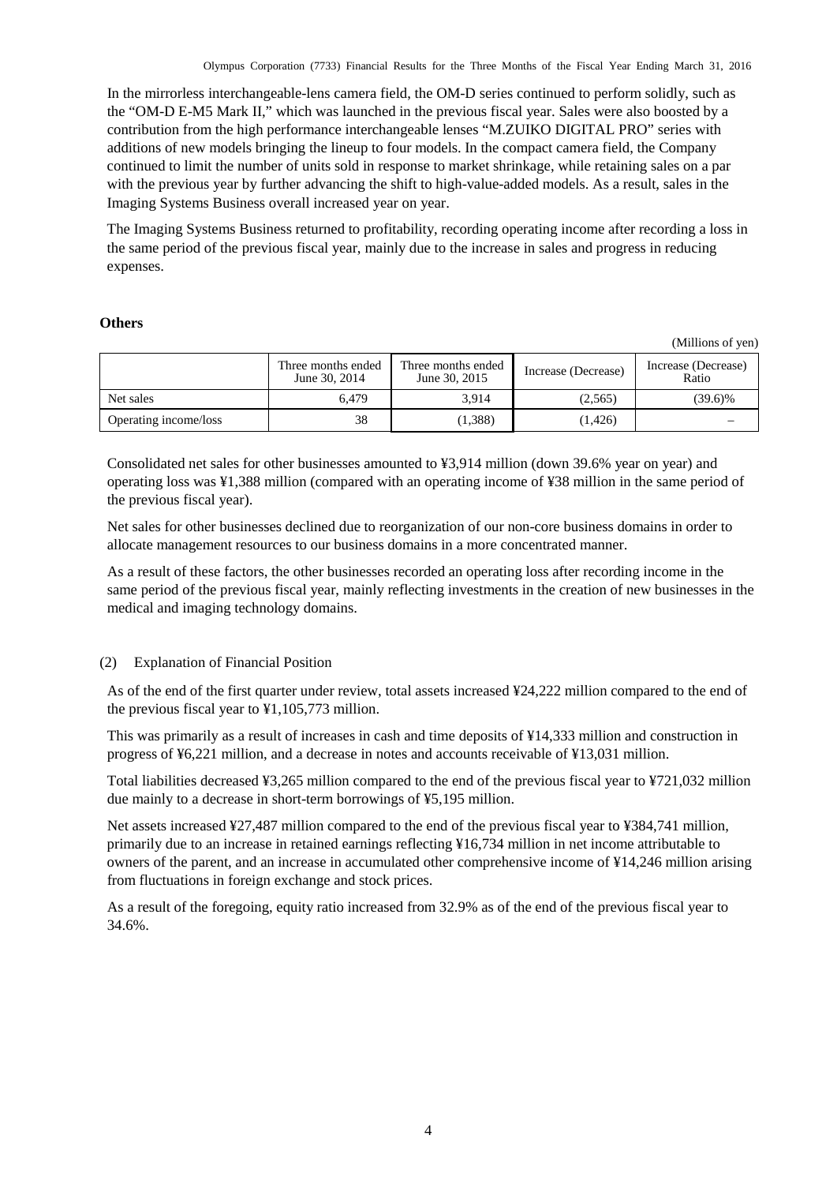In the mirrorless interchangeable-lens camera field, the OM-D series continued to perform solidly, such as the "OM-D E-M5 Mark II," which was launched in the previous fiscal year. Sales were also boosted by a contribution from the high performance interchangeable lenses "M.ZUIKO DIGITAL PRO" series with additions of new models bringing the lineup to four models. In the compact camera field, the Company continued to limit the number of units sold in response to market shrinkage, while retaining sales on a par with the previous year by further advancing the shift to high-value-added models. As a result, sales in the Imaging Systems Business overall increased year on year.

The Imaging Systems Business returned to profitability, recording operating income after recording a loss in the same period of the previous fiscal year, mainly due to the increase in sales and progress in reducing expenses.

#### **Others**

(Millions of yen)

|                       | Three months ended<br>June 30, 2014 | Three months ended<br>June 30, 2015 | Increase (Decrease) | Increase (Decrease)<br>Ratio |  |
|-----------------------|-------------------------------------|-------------------------------------|---------------------|------------------------------|--|
| Net sales             | 6.479                               | 3.914                               | (2,565)             | $(39.6)\%$                   |  |
| Operating income/loss | 38                                  | (1,388)                             | (1,426)             |                              |  |

Consolidated net sales for other businesses amounted to ¥3,914 million (down 39.6% year on year) and operating loss was ¥1,388 million (compared with an operating income of ¥38 million in the same period of the previous fiscal year).

Net sales for other businesses declined due to reorganization of our non-core business domains in order to allocate management resources to our business domains in a more concentrated manner.

As a result of these factors, the other businesses recorded an operating loss after recording income in the same period of the previous fiscal year, mainly reflecting investments in the creation of new businesses in the medical and imaging technology domains.

# <span id="page-5-0"></span>(2) Explanation of Financial Position

As of the end of the first quarter under review, total assets increased ¥24,222 million compared to the end of the previous fiscal year to ¥1,105,773 million.

This was primarily as a result of increases in cash and time deposits of ¥14,333 million and construction in progress of ¥6,221 million, and a decrease in notes and accounts receivable of ¥13,031 million.

Total liabilities decreased ¥3,265 million compared to the end of the previous fiscal year to ¥721,032 million due mainly to a decrease in short-term borrowings of ¥5,195 million.

Net assets increased ¥27,487 million compared to the end of the previous fiscal year to ¥384,741 million, primarily due to an increase in retained earnings reflecting ¥16,734 million in net income attributable to owners of the parent, and an increase in accumulated other comprehensive income of ¥14,246 million arising from fluctuations in foreign exchange and stock prices.

As a result of the foregoing, equity ratio increased from 32.9% as of the end of the previous fiscal year to 34.6%.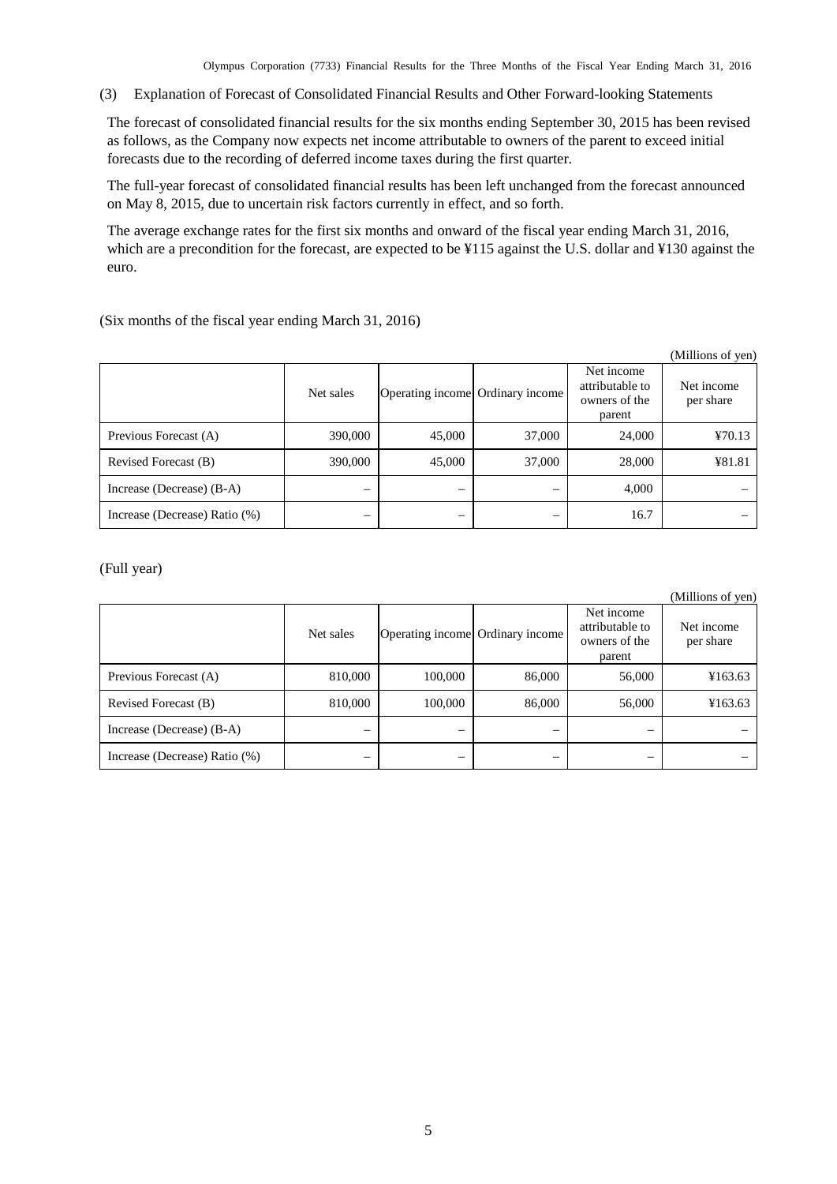Olympus Corporation (7733) Financial Results for the Three Months of the Fiscal Year Ending March 31, 2016

<span id="page-6-0"></span>(3) Explanation of Forecast of Consolidated Financial Results and Other Forward-looking Statements

The forecast of consolidated financial results for the six months ending September 30, 2015 has been revised as follows, as the Company now expects net income attributable to owners of the parent to exceed initial forecasts due to the recording of deferred income taxes during the first quarter.

The full-year forecast of consolidated financial results has been left unchanged from the forecast announced on May 8, 2015, due to uncertain risk factors currently in effect, and so forth.

The average exchange rates for the first six months and onward of the fiscal year ending March 31, 2016, which are a precondition for the forecast, are expected to be ¥115 against the U.S. dollar and ¥130 against the euro.

(Six months of the fiscal year ending March 31, 2016)

|                               |           |                                  |        |                                                          | (Millions of yen)       |
|-------------------------------|-----------|----------------------------------|--------|----------------------------------------------------------|-------------------------|
|                               | Net sales | Operating income Ordinary income |        | Net income<br>attributable to<br>owners of the<br>parent | Net income<br>per share |
| Previous Forecast (A)         | 390,000   | 45,000                           | 37,000 | 24,000                                                   | 470.13                  |
| Revised Forecast (B)          | 390,000   | 45,000                           | 37,000 | 28,000                                                   | ¥81.81                  |
| Increase (Decrease) (B-A)     | –         |                                  |        | 4,000                                                    |                         |
| Increase (Decrease) Ratio (%) | –         |                                  |        | 16.7                                                     |                         |

(Full year)

(Millions of yen)

|                               | Net sales | Operating income Ordinary income |        | Net income<br>attributable to<br>owners of the<br>parent | Net income<br>per share |
|-------------------------------|-----------|----------------------------------|--------|----------------------------------------------------------|-------------------------|
| Previous Forecast (A)         | 810,000   | 100,000                          | 86,000 | 56,000                                                   | ¥163.63                 |
| Revised Forecast (B)          | 810,000   | 100,000                          | 86,000 | 56,000                                                   | ¥163.63                 |
| Increase (Decrease) (B-A)     | –         |                                  |        | –                                                        |                         |
| Increase (Decrease) Ratio (%) |           |                                  |        |                                                          |                         |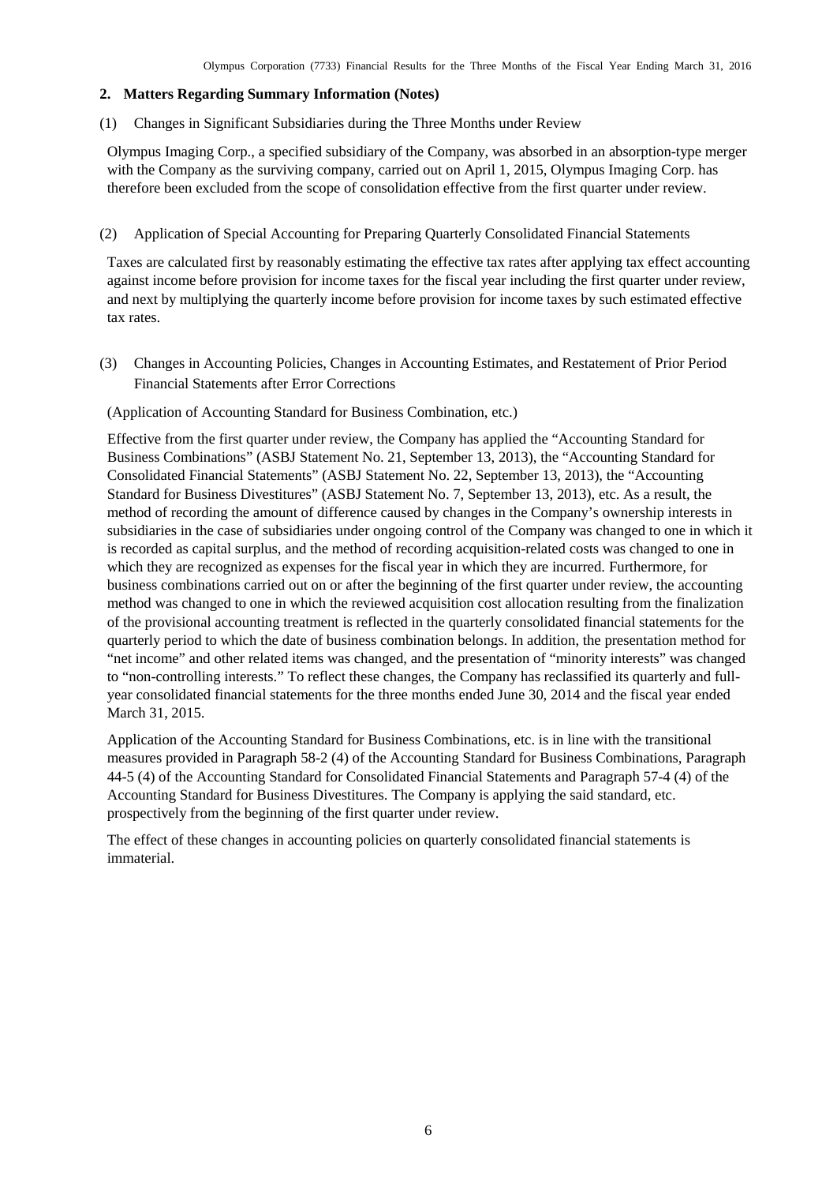### <span id="page-7-0"></span>**2. Matters Regarding Summary Information (Notes)**

<span id="page-7-1"></span>(1) Changes in Significant Subsidiaries during the Three Months under Review

Olympus Imaging Corp., a specified subsidiary of the Company, was absorbed in an absorption-type merger with the Company as the surviving company, carried out on April 1, 2015, Olympus Imaging Corp. has therefore been excluded from the scope of consolidation effective from the first quarter under review.

<span id="page-7-2"></span>(2) Application of Special Accounting for Preparing Quarterly Consolidated Financial Statements

Taxes are calculated first by reasonably estimating the effective tax rates after applying tax effect accounting against income before provision for income taxes for the fiscal year including the first quarter under review, and next by multiplying the quarterly income before provision for income taxes by such estimated effective tax rates.

<span id="page-7-3"></span>(3) Changes in Accounting Policies, Changes in Accounting Estimates, and Restatement of Prior Period Financial Statements after Error Corrections

(Application of Accounting Standard for Business Combination, etc.)

Effective from the first quarter under review, the Company has applied the "Accounting Standard for Business Combinations" (ASBJ Statement No. 21, September 13, 2013), the "Accounting Standard for Consolidated Financial Statements" (ASBJ Statement No. 22, September 13, 2013), the "Accounting Standard for Business Divestitures" (ASBJ Statement No. 7, September 13, 2013), etc. As a result, the method of recording the amount of difference caused by changes in the Company's ownership interests in subsidiaries in the case of subsidiaries under ongoing control of the Company was changed to one in which it is recorded as capital surplus, and the method of recording acquisition-related costs was changed to one in which they are recognized as expenses for the fiscal year in which they are incurred. Furthermore, for business combinations carried out on or after the beginning of the first quarter under review, the accounting method was changed to one in which the reviewed acquisition cost allocation resulting from the finalization of the provisional accounting treatment is reflected in the quarterly consolidated financial statements for the quarterly period to which the date of business combination belongs. In addition, the presentation method for "net income" and other related items was changed, and the presentation of "minority interests" was changed to "non-controlling interests." To reflect these changes, the Company has reclassified its quarterly and fullyear consolidated financial statements for the three months ended June 30, 2014 and the fiscal year ended March 31, 2015.

Application of the Accounting Standard for Business Combinations, etc. is in line with the transitional measures provided in Paragraph 58-2 (4) of the Accounting Standard for Business Combinations, Paragraph 44-5 (4) of the Accounting Standard for Consolidated Financial Statements and Paragraph 57-4 (4) of the Accounting Standard for Business Divestitures. The Company is applying the said standard, etc. prospectively from the beginning of the first quarter under review.

The effect of these changes in accounting policies on quarterly consolidated financial statements is immaterial.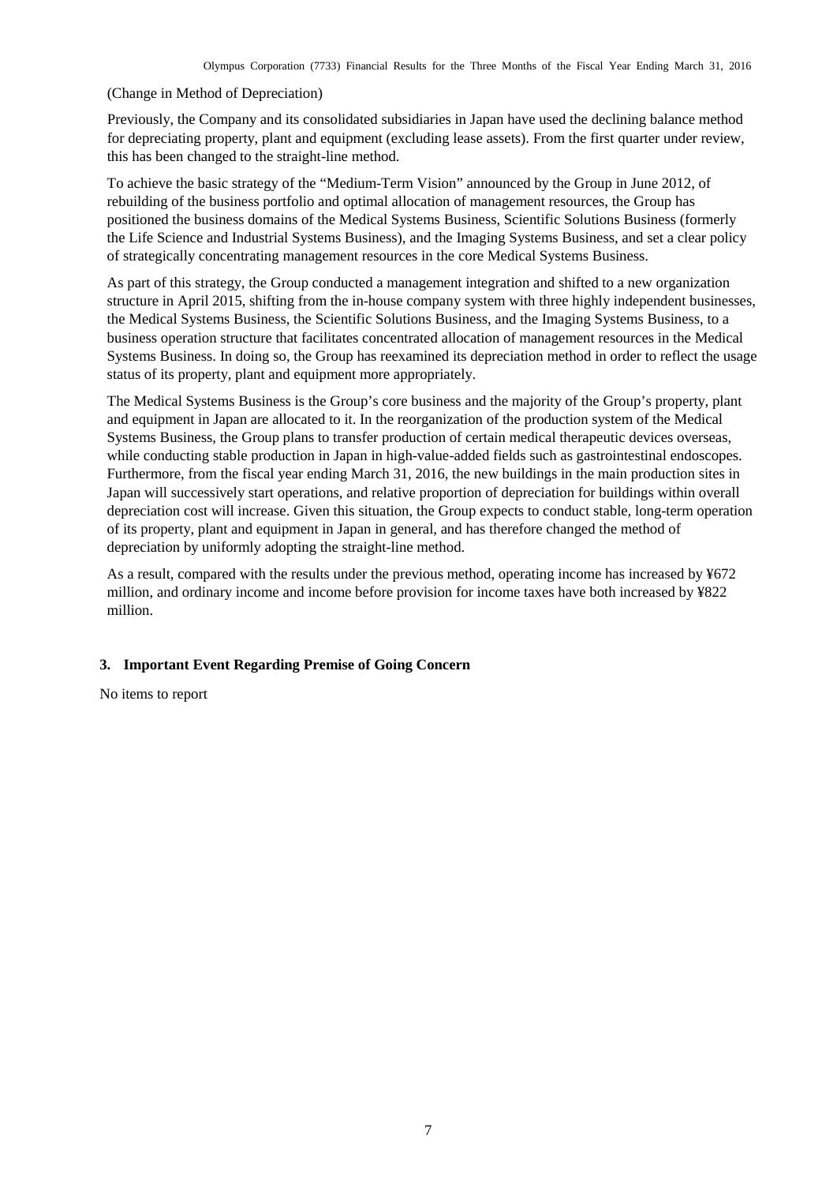#### (Change in Method of Depreciation)

Previously, the Company and its consolidated subsidiaries in Japan have used the declining balance method for depreciating property, plant and equipment (excluding lease assets). From the first quarter under review, this has been changed to the straight-line method.

To achieve the basic strategy of the "Medium-Term Vision" announced by the Group in June 2012, of rebuilding of the business portfolio and optimal allocation of management resources, the Group has positioned the business domains of the Medical Systems Business, Scientific Solutions Business (formerly the Life Science and Industrial Systems Business), and the Imaging Systems Business, and set a clear policy of strategically concentrating management resources in the core Medical Systems Business.

As part of this strategy, the Group conducted a management integration and shifted to a new organization structure in April 2015, shifting from the in-house company system with three highly independent businesses, the Medical Systems Business, the Scientific Solutions Business, and the Imaging Systems Business, to a business operation structure that facilitates concentrated allocation of management resources in the Medical Systems Business. In doing so, the Group has reexamined its depreciation method in order to reflect the usage status of its property, plant and equipment more appropriately.

The Medical Systems Business is the Group's core business and the majority of the Group's property, plant and equipment in Japan are allocated to it. In the reorganization of the production system of the Medical Systems Business, the Group plans to transfer production of certain medical therapeutic devices overseas, while conducting stable production in Japan in high-value-added fields such as gastrointestinal endoscopes. Furthermore, from the fiscal year ending March 31, 2016, the new buildings in the main production sites in Japan will successively start operations, and relative proportion of depreciation for buildings within overall depreciation cost will increase. Given this situation, the Group expects to conduct stable, long-term operation of its property, plant and equipment in Japan in general, and has therefore changed the method of depreciation by uniformly adopting the straight-line method.

As a result, compared with the results under the previous method, operating income has increased by ¥672 million, and ordinary income and income before provision for income taxes have both increased by ¥822 million.

# <span id="page-8-0"></span>**3. Important Event Regarding Premise of Going Concern**

No items to report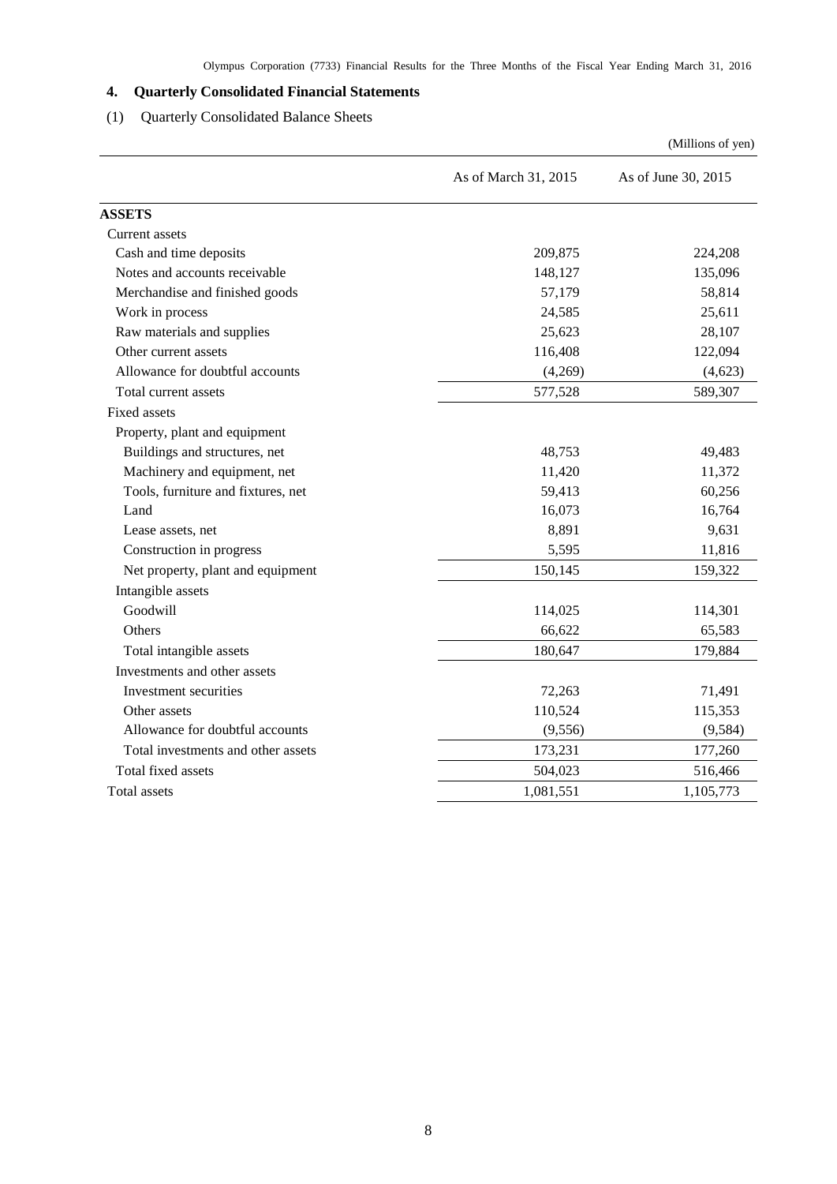# <span id="page-9-0"></span>**4. Quarterly Consolidated Financial Statements**

# <span id="page-9-1"></span>(1) Quarterly Consolidated Balance Sheets

|                                    |                      | (Millions of yen)   |
|------------------------------------|----------------------|---------------------|
|                                    | As of March 31, 2015 | As of June 30, 2015 |
| <b>ASSETS</b>                      |                      |                     |
| Current assets                     |                      |                     |
| Cash and time deposits             | 209,875              | 224,208             |
| Notes and accounts receivable      | 148,127              | 135,096             |
| Merchandise and finished goods     | 57,179               | 58,814              |
| Work in process                    | 24,585               | 25,611              |
| Raw materials and supplies         | 25,623               | 28,107              |
| Other current assets               | 116,408              | 122,094             |
| Allowance for doubtful accounts    | (4,269)              | (4,623)             |
| Total current assets               | 577,528              | 589,307             |
| <b>Fixed assets</b>                |                      |                     |
| Property, plant and equipment      |                      |                     |
| Buildings and structures, net      | 48,753               | 49,483              |
| Machinery and equipment, net       | 11,420               | 11,372              |
| Tools, furniture and fixtures, net | 59,413               | 60,256              |
| Land                               | 16,073               | 16,764              |
| Lease assets, net                  | 8,891                | 9,631               |
| Construction in progress           | 5,595                | 11,816              |
| Net property, plant and equipment  | 150,145              | 159,322             |
| Intangible assets                  |                      |                     |
| Goodwill                           | 114,025              | 114,301             |
| Others                             | 66,622               | 65,583              |
| Total intangible assets            | 180,647              | 179,884             |
| Investments and other assets       |                      |                     |
| Investment securities              | 72,263               | 71,491              |
| Other assets                       | 110,524              | 115,353             |
| Allowance for doubtful accounts    | (9, 556)             | (9, 584)            |
| Total investments and other assets | 173,231              | 177,260             |
| Total fixed assets                 | 504,023              | 516,466             |
| Total assets                       | 1,081,551            | 1,105,773           |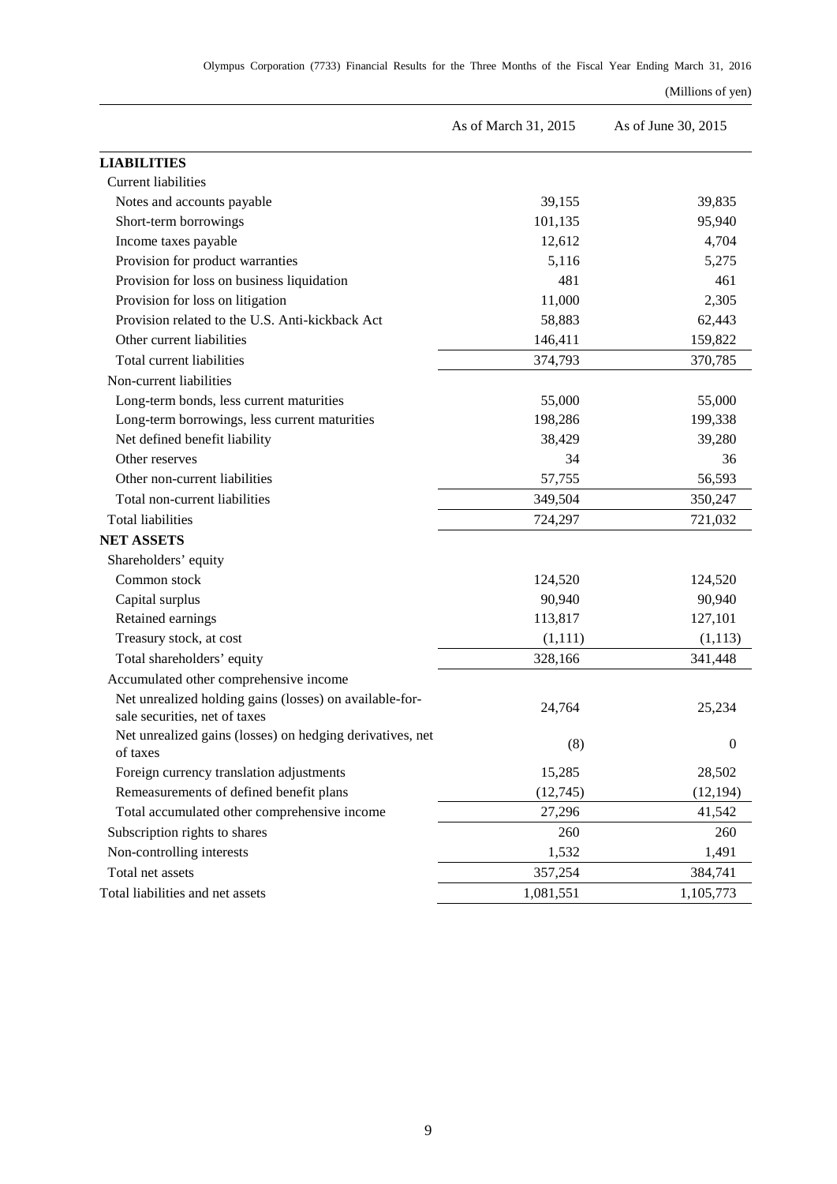### (Millions of yen)

|                                                                                          | As of March 31, 2015 | As of June 30, 2015 |
|------------------------------------------------------------------------------------------|----------------------|---------------------|
| <b>LIABILITIES</b>                                                                       |                      |                     |
| <b>Current liabilities</b>                                                               |                      |                     |
| Notes and accounts payable                                                               | 39,155               | 39,835              |
| Short-term borrowings                                                                    | 101,135              | 95,940              |
| Income taxes payable                                                                     | 12,612               | 4,704               |
| Provision for product warranties                                                         | 5,116                | 5,275               |
| Provision for loss on business liquidation                                               | 481                  | 461                 |
| Provision for loss on litigation                                                         | 11,000               | 2,305               |
| Provision related to the U.S. Anti-kickback Act                                          | 58,883               | 62,443              |
| Other current liabilities                                                                | 146,411              | 159,822             |
| Total current liabilities                                                                | 374,793              | 370,785             |
| Non-current liabilities                                                                  |                      |                     |
| Long-term bonds, less current maturities                                                 | 55,000               | 55,000              |
| Long-term borrowings, less current maturities                                            | 198,286              | 199,338             |
| Net defined benefit liability                                                            | 38,429               | 39,280              |
| Other reserves                                                                           | 34                   | 36                  |
| Other non-current liabilities                                                            | 57,755               | 56,593              |
| Total non-current liabilities                                                            | 349,504              | 350,247             |
| <b>Total liabilities</b>                                                                 | 724,297              | 721,032             |
| <b>NET ASSETS</b>                                                                        |                      |                     |
| Shareholders' equity                                                                     |                      |                     |
| Common stock                                                                             | 124,520              | 124,520             |
| Capital surplus                                                                          | 90,940               | 90,940              |
| Retained earnings                                                                        | 113,817              | 127,101             |
| Treasury stock, at cost                                                                  | (1,111)              | (1,113)             |
| Total shareholders' equity                                                               | 328,166              | 341,448             |
| Accumulated other comprehensive income                                                   |                      |                     |
| Net unrealized holding gains (losses) on available-for-<br>sale securities, net of taxes | 24,764               | 25,234              |
| Net unrealized gains (losses) on hedging derivatives, net<br>of taxes                    | (8)                  | $\boldsymbol{0}$    |
| Foreign currency translation adjustments                                                 | 15,285               | 28,502              |
| Remeasurements of defined benefit plans                                                  | (12,745)             | (12, 194)           |
| Total accumulated other comprehensive income                                             | 27,296               | 41,542              |
| Subscription rights to shares                                                            | 260                  | 260                 |
| Non-controlling interests                                                                | 1,532                | 1,491               |
| Total net assets                                                                         | 357,254              | 384,741             |
| Total liabilities and net assets                                                         | 1,081,551            | 1,105,773           |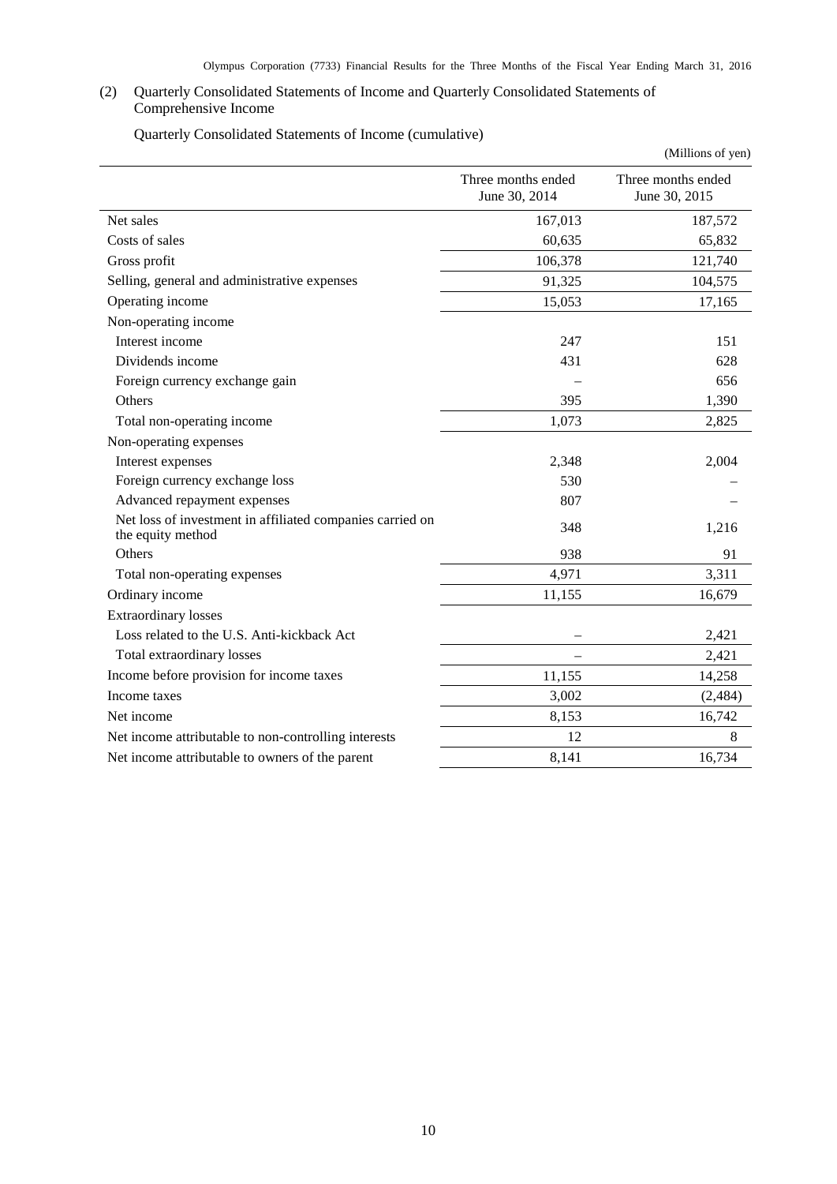# <span id="page-11-0"></span>(2) Quarterly Consolidated Statements of Income and Quarterly Consolidated Statements of Comprehensive Income

Quarterly Consolidated Statements of Income (cumulative)

<span id="page-11-1"></span>

|                                                                                |                                     | (Millions of yen)                   |
|--------------------------------------------------------------------------------|-------------------------------------|-------------------------------------|
|                                                                                | Three months ended<br>June 30, 2014 | Three months ended<br>June 30, 2015 |
| Net sales                                                                      | 167,013                             | 187,572                             |
| Costs of sales                                                                 | 60,635                              | 65,832                              |
| Gross profit                                                                   | 106,378                             | 121,740                             |
| Selling, general and administrative expenses                                   | 91,325                              | 104,575                             |
| Operating income                                                               | 15,053                              | 17,165                              |
| Non-operating income                                                           |                                     |                                     |
| Interest income                                                                | 247                                 | 151                                 |
| Dividends income                                                               | 431                                 | 628                                 |
| Foreign currency exchange gain                                                 |                                     | 656                                 |
| Others                                                                         | 395                                 | 1,390                               |
| Total non-operating income                                                     | 1,073                               | 2,825                               |
| Non-operating expenses                                                         |                                     |                                     |
| Interest expenses                                                              | 2,348                               | 2,004                               |
| Foreign currency exchange loss                                                 | 530                                 |                                     |
| Advanced repayment expenses                                                    | 807                                 |                                     |
| Net loss of investment in affiliated companies carried on<br>the equity method | 348                                 | 1,216                               |
| Others                                                                         | 938                                 | 91                                  |
| Total non-operating expenses                                                   | 4,971                               | 3,311                               |
| Ordinary income                                                                | 11,155                              | 16,679                              |
| <b>Extraordinary losses</b>                                                    |                                     |                                     |
| Loss related to the U.S. Anti-kickback Act                                     |                                     | 2,421                               |
| Total extraordinary losses                                                     | $\overline{\phantom{0}}$            | 2,421                               |
| Income before provision for income taxes                                       | 11,155                              | 14,258                              |
| Income taxes                                                                   | 3,002                               | (2, 484)                            |
| Net income                                                                     | 8,153                               | 16,742                              |
| Net income attributable to non-controlling interests                           | 12                                  | 8                                   |
| Net income attributable to owners of the parent                                | 8,141                               | 16,734                              |

10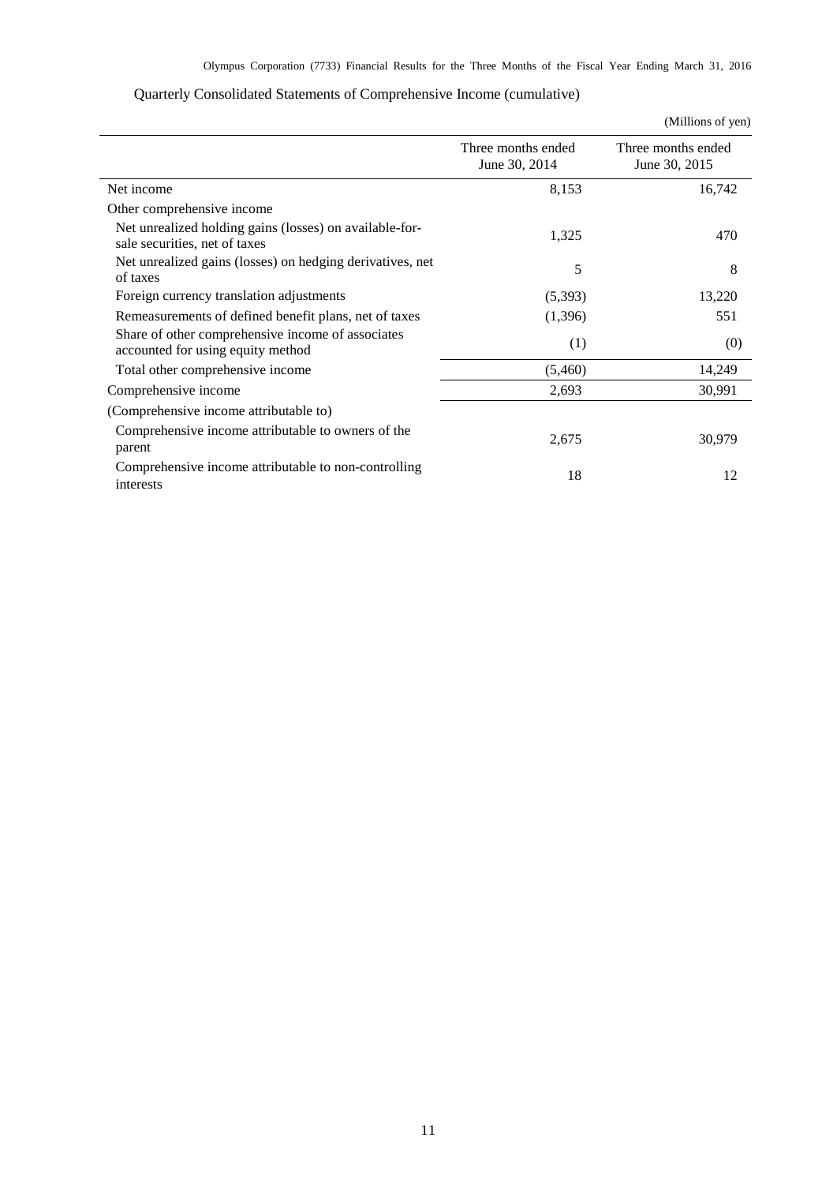<span id="page-12-0"></span>

|                                                                                          |                                     | (Millions of yen)                   |
|------------------------------------------------------------------------------------------|-------------------------------------|-------------------------------------|
|                                                                                          | Three months ended<br>June 30, 2014 | Three months ended<br>June 30, 2015 |
| Net income                                                                               | 8,153                               | 16,742                              |
| Other comprehensive income                                                               |                                     |                                     |
| Net unrealized holding gains (losses) on available-for-<br>sale securities, net of taxes | 1,325                               | 470                                 |
| Net unrealized gains (losses) on hedging derivatives, net<br>of taxes                    | 5                                   | 8                                   |
| Foreign currency translation adjustments                                                 | (5,393)                             | 13,220                              |
| Remeasurements of defined benefit plans, net of taxes                                    | (1,396)                             | 551                                 |
| Share of other comprehensive income of associates<br>accounted for using equity method   | (1)                                 | (0)                                 |
| Total other comprehensive income                                                         | (5,460)                             | 14,249                              |
| Comprehensive income                                                                     | 2,693                               | 30,991                              |
| (Comprehensive income attributable to)                                                   |                                     |                                     |
| Comprehensive income attributable to owners of the<br>parent                             | 2,675                               | 30,979                              |
| Comprehensive income attributable to non-controlling<br>interests                        | 18                                  | 12                                  |

# Quarterly Consolidated Statements of Comprehensive Income (cumulative)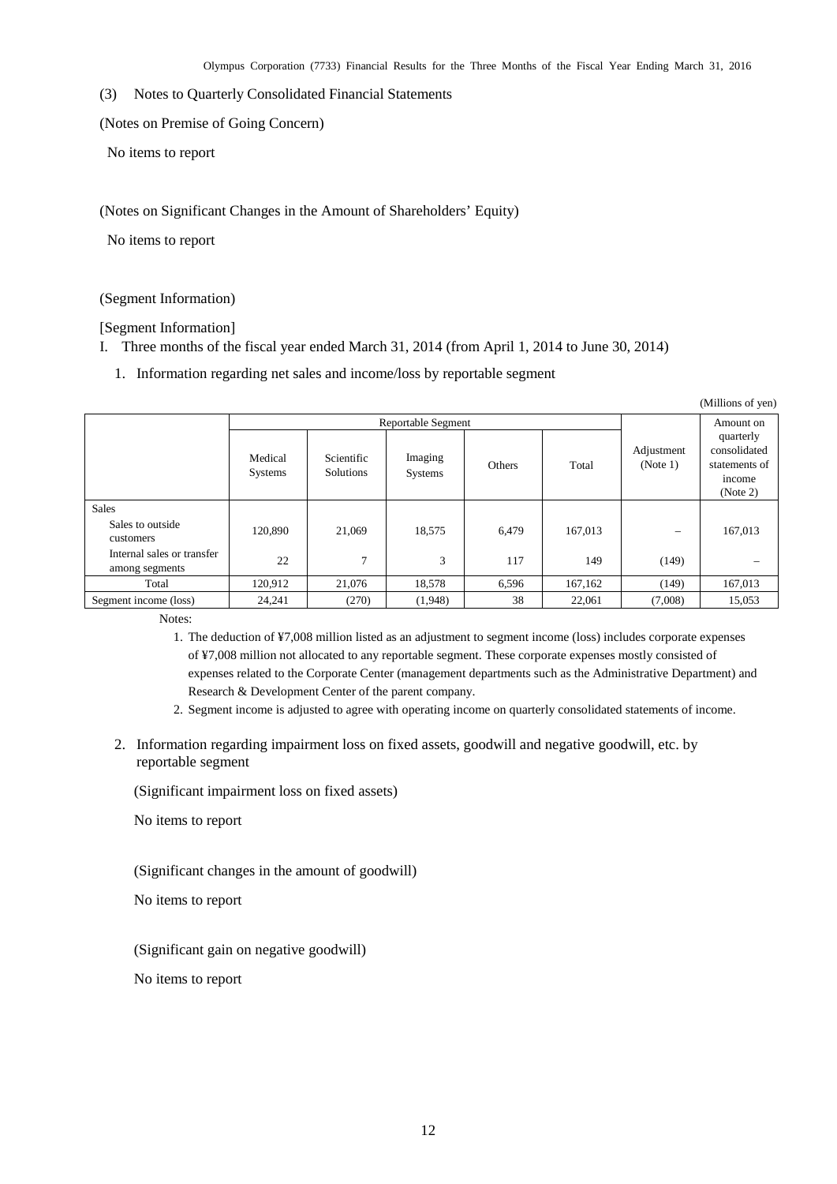<span id="page-13-0"></span>(3) Notes to Quarterly Consolidated Financial Statements

<span id="page-13-1"></span>(Notes on Premise of Going Concern)

No items to report

<span id="page-13-2"></span>(Notes on Significant Changes in the Amount of Shareholders' Equity)

No items to report

<span id="page-13-3"></span>(Segment Information)

[Segment Information]

- I. Three months of the fiscal year ended March 31, 2014 (from April 1, 2014 to June 30, 2014)
	- 1. Information regarding net sales and income/loss by reportable segment

| (Millions of yen)                            |                           |                         |                    |        |         |                        |                                                                  |
|----------------------------------------------|---------------------------|-------------------------|--------------------|--------|---------|------------------------|------------------------------------------------------------------|
|                                              | Reportable Segment        |                         |                    |        |         | Amount on              |                                                                  |
|                                              | Medical<br><b>Systems</b> | Scientific<br>Solutions | Imaging<br>Systems | Others | Total   | Adjustment<br>(Note 1) | quarterly<br>consolidated<br>statements of<br>income<br>(Note 2) |
| <b>Sales</b>                                 |                           |                         |                    |        |         |                        |                                                                  |
| Sales to outside<br>customers                | 120.890                   | 21,069                  | 18,575             | 6,479  | 167,013 |                        | 167,013                                                          |
| Internal sales or transfer<br>among segments | 22                        | $\overline{7}$          | 3                  | 117    | 149     | (149)                  |                                                                  |
| Total                                        | 120,912                   | 21,076                  | 18,578             | 6,596  | 167,162 | (149)                  | 167,013                                                          |
| Segment income (loss)                        | 24,241                    | (270)                   | (1,948)            | 38     | 22,061  | (7,008)                | 15,053                                                           |

Notes:

- 1. The deduction of ¥7,008 million listed as an adjustment to segment income (loss) includes corporate expenses of ¥7,008 million not allocated to any reportable segment. These corporate expenses mostly consisted of expenses related to the Corporate Center (management departments such as the Administrative Department) and Research & Development Center of the parent company.
- 2. Segment income is adjusted to agree with operating income on quarterly consolidated statements of income.
- 2. Information regarding impairment loss on fixed assets, goodwill and negative goodwill, etc. by reportable segment

(Significant impairment loss on fixed assets)

No items to report

(Significant changes in the amount of goodwill)

No items to report

(Significant gain on negative goodwill)

No items to report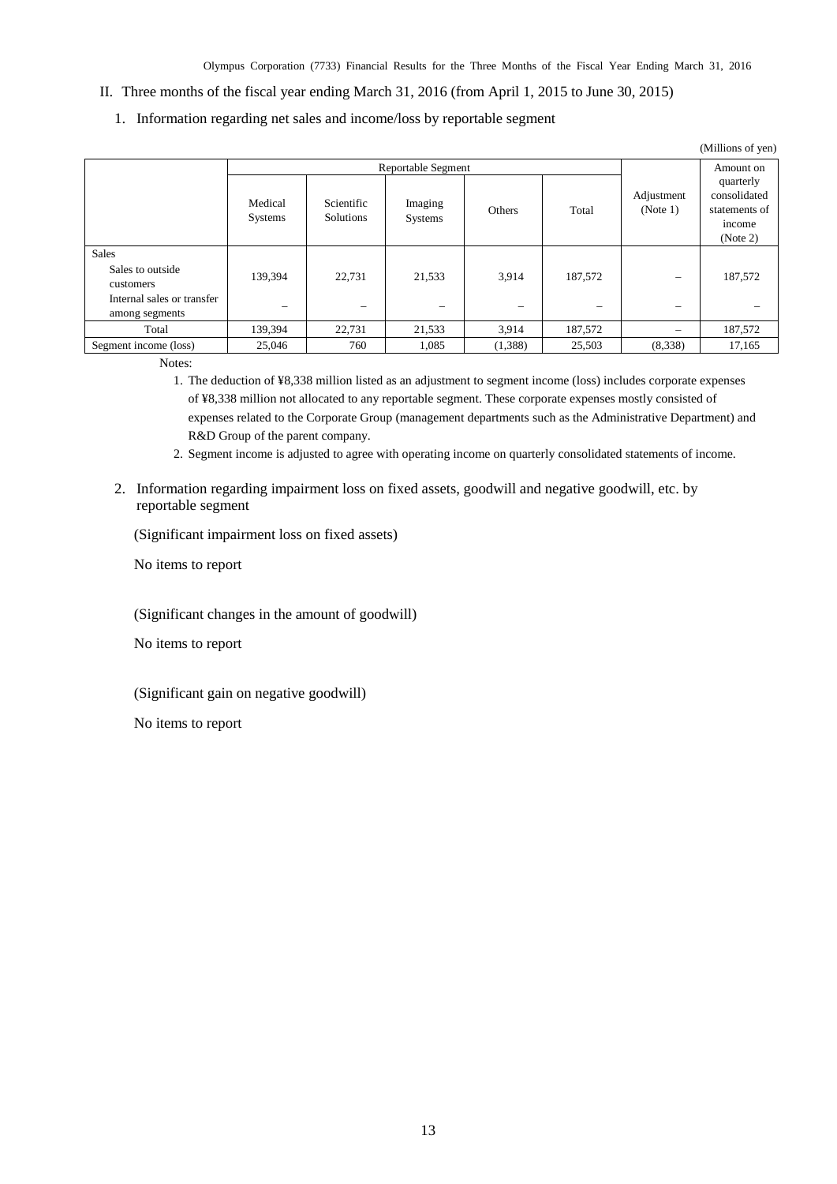- II. Three months of the fiscal year ending March 31, 2016 (from April 1, 2015 to June 30, 2015)
	- 1. Information regarding net sales and income/loss by reportable segment

| (Millions of yen)                                                                             |                           |                                    |                             |                                   |         |                        |                                                                  |
|-----------------------------------------------------------------------------------------------|---------------------------|------------------------------------|-----------------------------|-----------------------------------|---------|------------------------|------------------------------------------------------------------|
| <b>Reportable Segment</b>                                                                     |                           |                                    |                             |                                   |         | Amount on              |                                                                  |
|                                                                                               | Medical<br><b>Systems</b> | Scientific<br>Solutions            | Imaging<br>Systems          | Others                            | Total   | Adjustment<br>(Note 1) | quarterly<br>consolidated<br>statements of<br>income<br>(Note 2) |
| <b>Sales</b><br>Sales to outside<br>customers<br>Internal sales or transfer<br>among segments | 139,394                   | 22,731<br>$\overline{\phantom{m}}$ | 21,533<br>$\hspace{0.05cm}$ | 3,914<br>$\overline{\phantom{0}}$ | 187,572 |                        | 187,572                                                          |
| Total                                                                                         | 139,394                   | 22,731                             | 21,533                      | 3,914                             | 187,572 |                        | 187,572                                                          |
| Segment income (loss)                                                                         | 25,046                    | 760                                | 1,085                       | (1,388)                           | 25,503  | (8,338)                | 17,165                                                           |

Notes:

1. The deduction of ¥8,338 million listed as an adjustment to segment income (loss) includes corporate expenses of ¥8,338 million not allocated to any reportable segment. These corporate expenses mostly consisted of expenses related to the Corporate Group (management departments such as the Administrative Department) and R&D Group of the parent company.

2. Segment income is adjusted to agree with operating income on quarterly consolidated statements of income.

2. Information regarding impairment loss on fixed assets, goodwill and negative goodwill, etc. by reportable segment

(Significant impairment loss on fixed assets)

No items to report

(Significant changes in the amount of goodwill)

No items to report

(Significant gain on negative goodwill)

No items to report